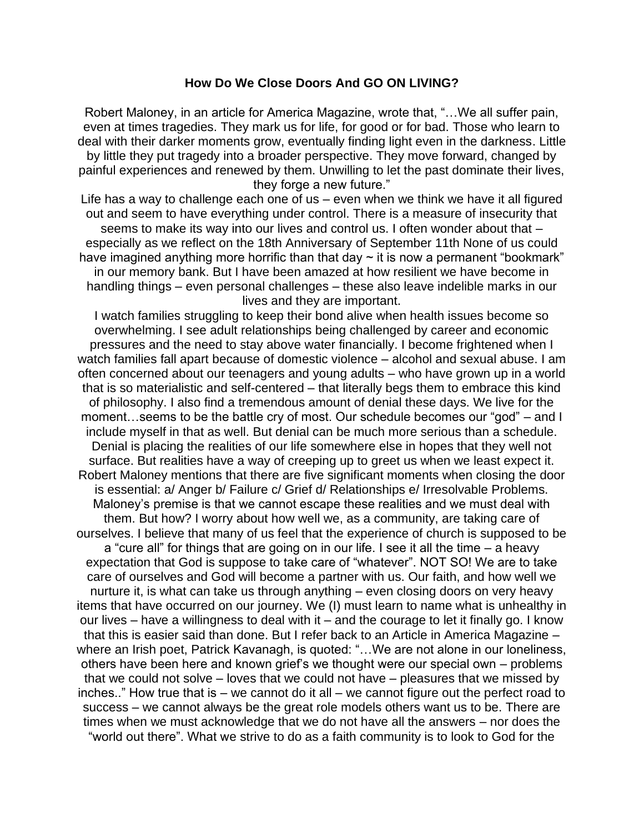## **How Do We Close Doors And GO ON LIVING?**

Robert Maloney, in an article for America Magazine, wrote that, "…We all suffer pain, even at times tragedies. They mark us for life, for good or for bad. Those who learn to deal with their darker moments grow, eventually finding light even in the darkness. Little by little they put tragedy into a broader perspective. They move forward, changed by painful experiences and renewed by them. Unwilling to let the past dominate their lives, they forge a new future."

Life has a way to challenge each one of us – even when we think we have it all figured out and seem to have everything under control. There is a measure of insecurity that seems to make its way into our lives and control us. I often wonder about that – especially as we reflect on the 18th Anniversary of September 11th None of us could have imagined anything more horrific than that day  $\sim$  it is now a permanent "bookmark" in our memory bank. But I have been amazed at how resilient we have become in handling things – even personal challenges – these also leave indelible marks in our lives and they are important.

I watch families struggling to keep their bond alive when health issues become so overwhelming. I see adult relationships being challenged by career and economic pressures and the need to stay above water financially. I become frightened when I watch families fall apart because of domestic violence – alcohol and sexual abuse. I am often concerned about our teenagers and young adults – who have grown up in a world that is so materialistic and self-centered – that literally begs them to embrace this kind of philosophy. I also find a tremendous amount of denial these days. We live for the moment…seems to be the battle cry of most. Our schedule becomes our "god" – and I include myself in that as well. But denial can be much more serious than a schedule. Denial is placing the realities of our life somewhere else in hopes that they well not surface. But realities have a way of creeping up to greet us when we least expect it. Robert Maloney mentions that there are five significant moments when closing the door is essential: a/ Anger b/ Failure c/ Grief d/ Relationships e/ Irresolvable Problems. Maloney's premise is that we cannot escape these realities and we must deal with them. But how? I worry about how well we, as a community, are taking care of ourselves. I believe that many of us feel that the experience of church is supposed to be a "cure all" for things that are going on in our life. I see it all the time – a heavy expectation that God is suppose to take care of "whatever". NOT SO! We are to take care of ourselves and God will become a partner with us. Our faith, and how well we nurture it, is what can take us through anything – even closing doors on very heavy items that have occurred on our journey. We (I) must learn to name what is unhealthy in our lives – have a willingness to deal with it – and the courage to let it finally go. I know that this is easier said than done. But I refer back to an Article in America Magazine – where an Irish poet, Patrick Kavanagh, is quoted: "...We are not alone in our loneliness, others have been here and known grief's we thought were our special own – problems that we could not solve – loves that we could not have – pleasures that we missed by inches.." How true that is – we cannot do it all – we cannot figure out the perfect road to success – we cannot always be the great role models others want us to be. There are times when we must acknowledge that we do not have all the answers – nor does the "world out there". What we strive to do as a faith community is to look to God for the